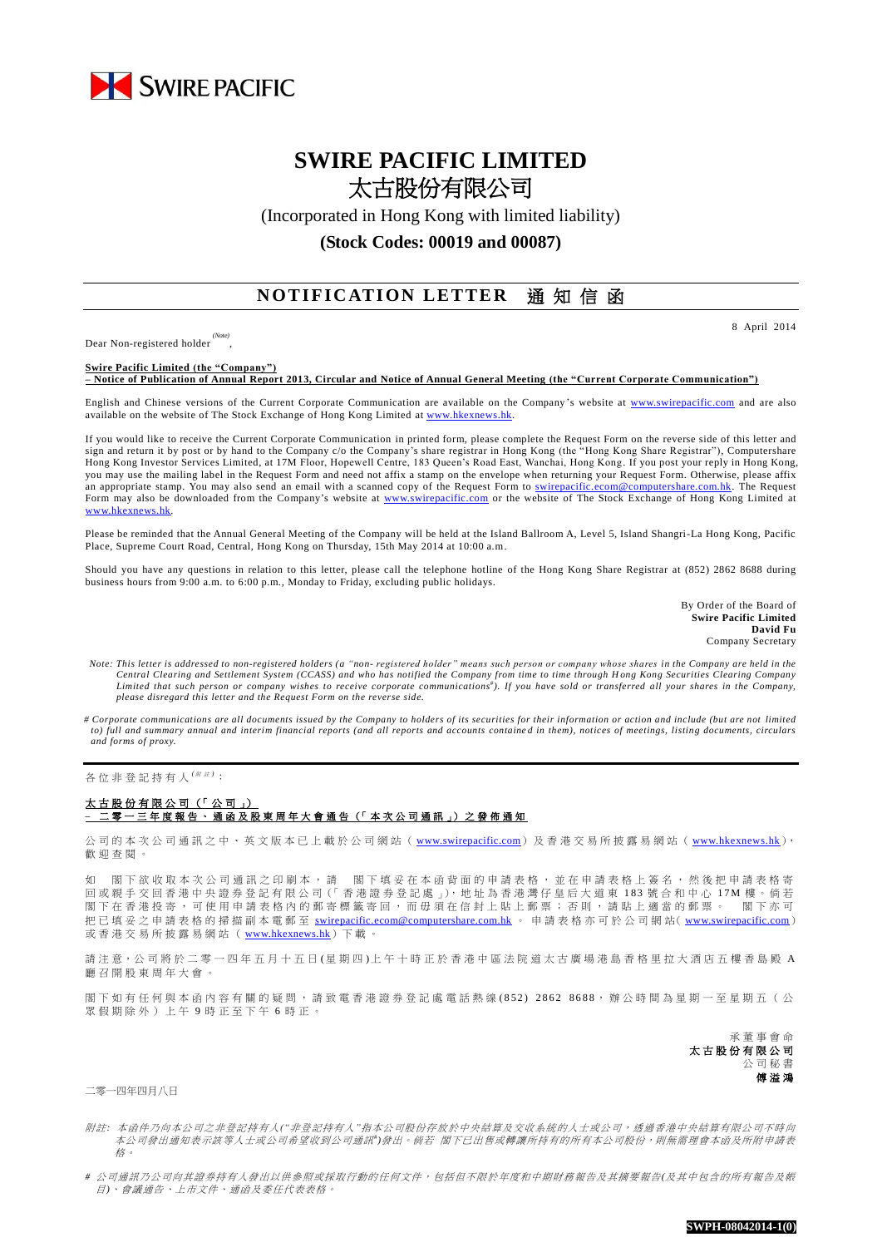

# **SWIRE PACIFIC LIMITED** 太古股份有限公司

(Incorporated in Hong Kong with limited liability)

**(Stock Codes: 00019 and 00087)**

## **NOTIFICATION LETTER** 通知信函

Dear Non-registered holder *(Note)* 8 April 2014

#### **Swire Pacific Limited (the "Company")**

,

**– Notice of Publication of Annual Report 2013, Circular and Notice of Annual General Meeting (the "Current Corporate Communication")**

English and Chinese versions of the Current Corporate Communication are available on the Company's website at [www.swirepacific.com](http://www.swirepacific.com/) and are also available on the website of The Stock Exchange of Hong Kong Limited at [www.hkexnews.hk.](http://www.hkexnews.hk/)

If you would like to receive the Current Corporate Communication in printed form, please complete the Request Form on the reverse side of this letter and sign and return it by post or by hand to the Company c/o the Company's share registrar in Hong Kong (the "Hong Kong Share Registrar"), Computershare Hong Kong Investor Services Limited, at 17M Floor, Hopewell Centre, 183 Queen's Road East, Wanchai, Hong Kong. If you post your reply in Hong Kong, you may use the mailing label in the Request Form and need not affix a stamp on the envelope when returning your Request Form. Otherwise, please affix an appropriate stamp. You may also send an email with a scanned copy of the Request Form to [swirepacific.ecom@computershare.com.hk.](mailto:swirepacific.ecom@computershare.com.hk) The Request Form may also be downloaded from the Company's website at [www.swirepacific.com](http://www.swirepacific.com/) or the website of The Stock Exchange of Hong Kong Limited at [www.hkexnews.hk.](http://www.hkexnews.hk/)

Please be reminded that the Annual General Meeting of the Company will be held at the Island Ballroom A, Level 5, Island Shangri-La Hong Kong, Pacific Place, Supreme Court Road, Central, Hong Kong on Thursday, 15th May 2014 at 10:00 a.m.

Should you have any questions in relation to this letter, please call the telephone hotline of the Hong Kong Share Registrar at (852) 2862 8688 during business hours from 9:00 a.m. to 6:00 p.m., Monday to Friday, excluding public holidays.

> By Order of the Board of **Swire Pacific Limited David Fu** Company Secretary

*Note: This letter is addressed to non-registered holders (a "non- registered holder" means such person or company whose shares in the Company are held in the*  Central Clearing and Settlement System (CCASS) and who has notified the Company from time to time through Hong Kong Securities Clearing Company<br>Limited that such person or company wishes to receive corporate communications *please disregard this letter and the Request Form on the reverse side.*

*# Corporate communications are all documents issued by the Company to holders of its securities for their information or action and include (but are not limited to)* full and summary annual and interim financial reports (and all reports and accounts contained in them), notices of meetings, listing documents, circulars *and forms of proxy.*

各位非登記持有人<sup>( # #)</sup>:

### 太古股份有限公司 (「 公 司 」) **–** 二零一三年度報告、通函 及 股 東 周 年 大 會 通 告 (「 本 次 公 司 通 訊 」) 之 發 佈 通 知

公司的本次公司通訊 之 中 、 英 文 版 本 已 上 載 於 公 司 網 站 ( [www.swirepacific.com](http://www.swirepacific.com/)) 及香港交易所披露易網站 ( [www.hkexnews.hk](http://www.hkexnews.hk/)), 歡 迎 查閱。

如 閣下欲收取本次公司通訊之印刷本,請 閣下填妥在本函背面的申請表格,並在申請表格上簽名,然後把申請表格寄 回 或親手交回 香 港 中 央 證 券 登 記 有 限 公 司(「 香 港 證 券 登 記 處 」), 地 址 為 香 港 灣 仔 皇 后 大 道 東 1 8 3 號合和中心 1 7 M 樓 。 倘 若 閣下 在 香 港 投 寄 , 可 使 用 申 請 表 格 内 的 郵 寄 標 籤 寄 回 , 而 毋 須 在 信 封 上 貼 上 郵 票 ; 否 則 , 請 貼 上 適 當 的 郵 票 。 閣 下 亦 可 把已填妥之申請表格的掃描副本電郵至 [swirepacific.ecom@computershare.com.hk](mailto:swirepacific.ecom@computershare.com.hk) 。 申請表格亦可於公司網站( [www.swirepacific.com](http://www.swirepacific.com/)) 或香港交易所披露易網站 ( [www.hkexnews.hk](http://www.hkexnews.hk/)) 下載

請注意,公司將於二零一四年五月十五日(星期四)上午十時正於香港中區法院道太古廣場港島香格里拉大酒店五樓香島殿 A 廳 召 開 股 東 周 年大會。

閣下如有任何與本函內容有關的疑問,請致電香港證券登記處電話熱線(852) 2862 8688,辦公時間為星期一至星期五(公 眾假期除外)上午 9 時正至下午 6 時正。

> 承董事會命 太古股份有限公司 公司秘書 傅溢鴻

二零一四年四月八日

附註*:* 本函件乃向本公司之非登記持有人*("*非登記持有人*"*指本公司股份存放於中央結算及交收系統的人士或公司,透過香港中央結算有限公司不時向 本公司發出通知表示該等人士或公司希望收到公司通訊<sup>+</sup>)發出。 倘若 閣下已出售或轉讓所持有的所有本公司股份,則無需理會本函及所附申請表 格。

*#* 公司通訊乃公司向其證券持有人發出以供參照或採取行動的任何文件,包括但不限於年度和中期財務報告及其摘要報告*(*及其中包含的所有報告及帳 目*)*、會議通告、上市文件、通函及委任代表表格。